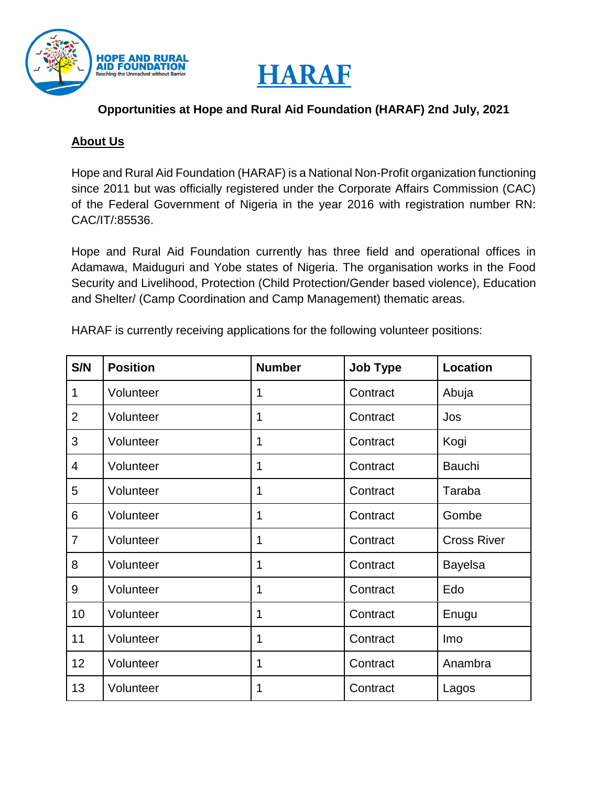



#### **Opportunities at Hope and Rural Aid Foundation (HARAF) 2nd July, 2021**

#### **About Us**

Hope and Rural Aid Foundation (HARAF) is a National Non-Profit organization functioning since 2011 but was officially registered under the Corporate Affairs Commission (CAC) of the Federal Government of Nigeria in the year 2016 with registration number RN: CAC/IT/:85536.

Hope and Rural Aid Foundation currently has three field and operational offices in Adamawa, Maiduguri and Yobe states of Nigeria. The organisation works in the Food Security and Livelihood, Protection (Child Protection/Gender based violence), Education and Shelter/ (Camp Coordination and Camp Management) thematic areas.

| HARAF is currently receiving applications for the following volunteer positions: |  |
|----------------------------------------------------------------------------------|--|
|----------------------------------------------------------------------------------|--|

| S/N            | <b>Position</b> | <b>Number</b> | <b>Job Type</b> | <b>Location</b>    |
|----------------|-----------------|---------------|-----------------|--------------------|
| 1              | Volunteer       | 1             | Contract        | Abuja              |
| $\overline{2}$ | Volunteer       | 1             | Contract        | Jos                |
| 3              | Volunteer       | 1             | Contract        | Kogi               |
| 4              | Volunteer       | 1             | Contract        | <b>Bauchi</b>      |
| 5              | Volunteer       | 1             | Contract        | Taraba             |
| 6              | Volunteer       | 1             | Contract        | Gombe              |
| $\overline{7}$ | Volunteer       | 1             | Contract        | <b>Cross River</b> |
| 8              | Volunteer       | 1             | Contract        | <b>Bayelsa</b>     |
| 9              | Volunteer       | 1             | Contract        | Edo                |
| 10             | Volunteer       | $\mathbf{1}$  | Contract        | Enugu              |
| 11             | Volunteer       | 1             | Contract        | Imo                |
| 12             | Volunteer       | 1             | Contract        | Anambra            |
| 13             | Volunteer       | 1             | Contract        | Lagos              |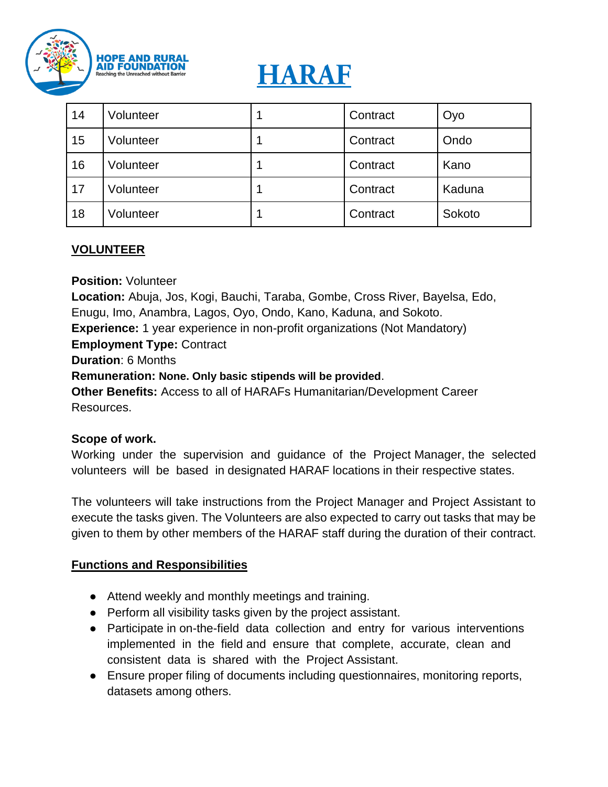

# **HARAF**

| 14 | Volunteer | Contract | Oyo    |
|----|-----------|----------|--------|
| 15 | Volunteer | Contract | Ondo   |
| 16 | Volunteer | Contract | Kano   |
| 17 | Volunteer | Contract | Kaduna |
| 18 | Volunteer | Contract | Sokoto |

## **VOLUNTEER**

**Position:** Volunteer

**Location:** Abuja, Jos, Kogi, Bauchi, Taraba, Gombe, Cross River, Bayelsa, Edo, Enugu, Imo, Anambra, Lagos, Oyo, Ondo, Kano, Kaduna, and Sokoto.

**Experience:** 1 year experience in non-profit organizations (Not Mandatory)

#### **Employment Type:** Contract

**Duration**: 6 Months

**Remuneration: None. Only basic stipends will be provided**.

**Other Benefits:** Access to all of HARAFs Humanitarian/Development Career Resources.

#### **Scope of work.**

Working under the supervision and guidance of the Project Manager, the selected volunteers will be based in designated HARAF locations in their respective states.

The volunteers will take instructions from the Project Manager and Project Assistant to execute the tasks given. The Volunteers are also expected to carry out tasks that may be given to them by other members of the HARAF staff during the duration of their contract.

#### **Functions and Responsibilities**

- Attend weekly and monthly meetings and training.
- Perform all visibility tasks given by the project assistant.
- Participate in on-the-field data collection and entry for various interventions implemented in the field and ensure that complete, accurate, clean and consistent data is shared with the Project Assistant.
- Ensure proper filing of documents including questionnaires, monitoring reports, datasets among others.